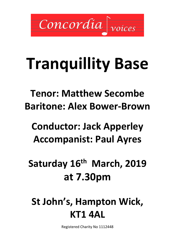Concordia

# **Tranquillity Base**

**Tenor: Matthew Secombe Baritone: Alex Bower-Brown**

## **Conductor: Jack Apperley Accompanist: Paul Ayres**

**Saturday 16th March, 2019 at 7.30pm**

**St John's, Hampton Wick, KT1 4AL**

Registered Charity No 1112448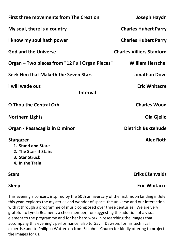| <b>First three movements from The Creation</b>                                                        | Joseph Haydn                     |
|-------------------------------------------------------------------------------------------------------|----------------------------------|
| My soul, there is a country                                                                           | <b>Charles Hubert Parry</b>      |
| I know my soul hath power                                                                             | <b>Charles Hubert Parry</b>      |
| <b>God and the Universe</b>                                                                           | <b>Charles Villiers Stanford</b> |
| Organ – Two pieces from "12 Full Organ Pieces"                                                        | <b>William Herschel</b>          |
| Seek Him that Maketh the Seven Stars                                                                  | <b>Jonathan Dove</b>             |
| i will wade out<br><b>Interval</b>                                                                    | <b>Eric Whitacre</b>             |
| <b>O Thou the Central Orb</b>                                                                         | <b>Charles Wood</b>              |
| <b>Northern Lights</b>                                                                                | Ola Gjeilo                       |
| Organ - Passacaglia in D minor                                                                        | <b>Dietrich Buxtehude</b>        |
| <b>Stargazer</b><br>1. Stand and Stare<br>2. The Star-lit Stairs<br>3. Star Struck<br>4. In the Train | <b>Alec Roth</b>                 |
| <b>Stars</b>                                                                                          | Ēriks Ešenvalds                  |

**Sleep Eric Whitacre** 

This evening's concert, inspired by the 50th anniversary of the first moon landing in July this year, explores the mysteries and wonder of space, the universe and our interaction with it through a programme of music composed over three centuries. We are very grateful to Lynda Beament, a choir member, for suggesting the addition of a visual element to the programme and for her hard work in researching the images that accompany this evening's performance; also to Gavin Dawson, for his technical expertise and to Philippa Watterson from St John's Church for kindly offering to project the images for us.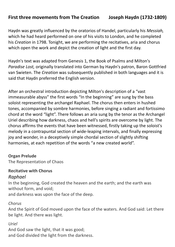#### **First three movements from The Creation Joseph Haydn (1732-1809)**

Haydn was greatly influenced by the oratorios of Handel, particularly his *Messiah,*  which he had heard performed on one of his visits to London, and he completed his *Creation* in 1798. Tonight, we are performing the recitatives, aria and chorus which open the work and depict the creation of light and the first day.

Haydn's text was adapted from Genesis 1, the Book of Psalms and Milton's *Paradise Lost,* originally translated into German by Haydn's patron, Baron Gottfried van Swieten. The *Creation* was subsequently published in both languages and it is said that Haydn preferred the English version.

After an orchestral introduction depicting Milton's description of a "vast immeasurable abyss" the first words "In the beginning" are sung by the bass soloist representing the archangel Raphael. The chorus then enters in hushed tones, accompanied by sombre harmonies, before singing a radiant and fortissimo chord at the word "light". There follows an aria sung by the tenor as the Archangel Uriel describing how darkness, chaos and hell's spirits are overcome by light. The chorus affirms the events that have been witnessed, firstly taking up the soloist's melody in a contrapuntal section of wide-leaping intervals, and finally expressing joy and wonder, in a deceptively simple chordal section of slightly shifting harmonies, at each repetition of the words "a new created world".

#### **Organ Prelude**

The Representation of Chaos

### **Recitative with Chorus**

#### *Raphael*

In the beginning, God created the heaven and the earth; and the earth was without form, and void;

and darkness was upon the face of the deep.

#### *Chorus*

And the Spirit of God moved upon the face of the waters. And God said: Let there be light. And there was light.

#### *Uriel*

And God saw the light, that it was good; and God divided the light from the darkness.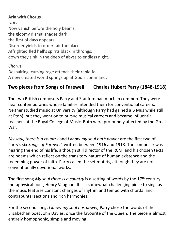#### **Aria with Chorus**

*Uriel* Now vanish before the holy beams, the gloomy dismal shades dark; the first of days appears. Disorder yields to order fair the place. Affrighted fled hell's spirits black in throngs; down they sink in the deep of abyss to endless night.

#### *Chorus*

Despairing, cursing rage attends their rapid fall. A new created world springs up at God's command.

### **Two pieces from Songs of Farewell Charles Hubert Parry (1848-1918)**

The two British composers Parry and Stanford had much in common. They were near contemporaries whose families intended them for conventional careers. Neither studied music at University (although Parry had gained a B Mus while still at Eton), but they went on to pursue musical careers and became influential teachers at the Royal College of Music. Both were profoundly affected by the Great War.

*My soul, there is a country* and *I know my soul hath power* are the first two of Parry's six *Songs of Farewell*, written between 1916 and 1918. The composer was nearing the end of his life, although still director of the RCM, and his chosen texts are poems which reflect on the transitory nature of human existence and the redeeming power of faith. Parry called the set motets, although they are not conventionally devotional works.

The first song My soul there is a country is a setting of words by the 17<sup>th</sup> century metaphysical poet, Henry Vaughan. It is a somewhat challenging piece to sing, as the music features constant changes of rhythm and tempo with chordal and contrapuntal sections and rich harmonies.

For the second song, *I know my soul has power,* Parry chose the words of the Elizabethan poet John Davies, once the favourite of the Queen. The piece is almost entirely homophonic, simple and moving.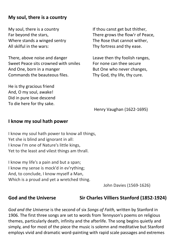#### **My soul, there is a country**

My soul, there is a country Far beyond the stars, Where stands a winged sentry All skilful in the wars:

There, above noise and danger Sweet Peace sits crowned with smiles And One, born in a manger Commands the beauteous files.

He is thy gracious friend And, O my soul, awake! Did in pure love descend To die here for thy sake.

If thou canst get but thither, There grows the flow'r of Peace, The Rose that cannot wither, Thy fortress and thy ease.

Leave then thy foolish ranges, For none can thee secure But One who never changes, Thy God, thy life, thy cure.

[Henry Vaughan](http://www1.cpdl.org/wiki/index.php/Henry_Vaughan) (1622-1695)

#### **I know my soul hath power**

I know my soul hath power to know all things, Yet she is blind and ignorant in all: I know I'm one of Nature's little kings, Yet to the least and vilest things am thrall.

I know my life's a pain and but a span; I know my sense is mock'd in ev'rything; And, to conclude, I know myself a Man, Which is a proud and yet a wretched thing.

[John Davies](http://www1.cpdl.org/wiki/index.php/John_Davies) (1569-1626)

**God and the Universe Sir Charles Villiers Stanford (1852-1924)**

*God and the Universe* is the second of six *Songs of Faith,* written by Stanford in 1906. The first three songs are set to words from Tennyson's poems on religious themes, particularly death, infinity and the afterlife. The song begins quietly and simply, and for most of the piece the music is solemn and meditative but Stanford employs vivid and dramatic word-painting with rapid scale passages and extremes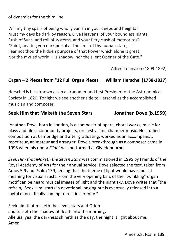of dynamics for the third line.

Will my tiny spark of being wholly vanish in your deeps and heights? Must my days be dark by reason, O ye Heavens, of your boundless nights, Rush of Suns, and roll of systems, and your fiery clash of meteorites? "Spirit, nearing yon dark portal at the limit of thy human state, Fear not thou the hidden purpose of that Power which alone is great, Nor the myriad world, His shadow, nor the silent Opener of the Gate."

Alfred Tennyson (1809-1892)

#### **Organ – 2 Pieces from "12 Full Organ Pieces" William Herschel (1738-1827)**

Herschel is best known as an astronomer and first President of the Astronomical Society in 1820. Tonight we see another side to Herschel as the accomplished musician and composer.

#### **Seek Him that Maketh the Seven Stars Jonathan Dove (b.1959)**

Jonathan Dove, born in London, is a composer of opera, choral works, music for plays and films, community projects, orchestral and chamber music. He studied composition at Cambridge and after graduating, worked as an accompanist, repetiteur, animateur and arranger. Dove's breakthrough as a composer came in 1998 when his opera *Flight* was performed at Glyndebourne.

*Seek Him that Maketh the Seven Stars* was commissioned in 1995 by Friends of the Royal Academy of Arts for their annual service. Dove selected the text, taken from Amos 5:9 and Psalm 139, feeling that the theme of light would have special meaning for visual artists. From the very opening bars of the "twinkling" organ motif can be heard musical images of light and the night sky. Dove writes that "the refrain, 'Seek Him' starts in devotional longing but is eventually released into a joyful dance, finally coming to rest in serenity."

Seek him that maketh the seven stars and Orion and turneth the shadow of death into the morning. Alleluia, yea, the darkness shineth as the day, the night is light about me. Amen.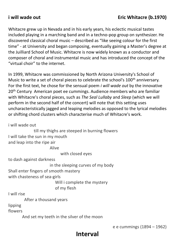### **i will wade out Eric Whitacre (b.1970)**

Whitacre grew up in Nevada and in his early years, his eclectic musical tastes included playing in a marching band and in a techno-pop group on synthesizer. He discovered classical choral music – described as "like seeing colour for the first time" - at University and began composing, eventually gaining a Master's degree at the Juilliard School of Music. Whitacre is now widely known as a conductor and composer of choral and instrumental music and has introduced the concept of the "virtual choir" to the internet.

In 1999, Whitacre was commissioned by North Arizona University's School of Music to write a set of choral pieces to celebrate the school's 100<sup>th</sup> anniversary. For the first text, he chose for the sensual poem *i will wade out* by the innovative 20<sup>th</sup> Century American poet ee cummings. Audience members who are familiar with Whitacre's choral pieces, such as *The Seal Lullaby* and *Sleep* (which we will perform in the second half of the concert) will note that this setting uses uncharacteristically jagged and leaping melodies as opposed to the lyrical melodies or shifting chord clusters which characterise much of Whitacre's work.

i will wade out

 till my thighs are steeped in burning flowers I will take the sun in my mouth and leap into the ripe air Alive with closed eyes to dash against darkness in the sleeping curves of my body Shall enter fingers of smooth mastery with chasteness of sea-girls Will i complete the mystery of my flesh I will rise After a thousand years lipping

flowers

And set my teeth in the silver of the moon

e e cummings (1894 – 1962)

### **Interval**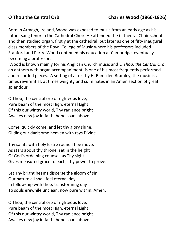Born in Armagh, Ireland, Wood was exposed to music from an early age as his father sang tenor in the Cathedral Choir. He attended the Cathedral Choir school and then studied organ, firstly at the cathedral, but later as one of fifty inaugural class members of the Royal College of Music where his professors included Stanford and Parry. Wood continued his education at Cambridge, eventually becoming a professor.

Wood is known mainly for his Anglican Church music and *O Thou, the Central Orb*, an anthem with organ accompaniment, is one of his most frequently performed and recorded pieces. A setting of a text by H. Ramsden Bramley, the music is at times reverential, at times weighty and culminates in an Amen section of great splendour.

O Thou, the central orb of righteous love, Pure beam of the most High, eternal Light Of this our wintry world, Thy radiance bright Awakes new joy in faith, hope soars above.

Come, quickly come, and let thy glory shine, Gilding our darksome heaven with rays Divine.

Thy saints with holy lustre round Thee move, As stars about thy throne, set in the height Of God's ordaining counsel, as Thy sight Gives measured grace to each, Thy power to prove.

Let Thy bright beams disperse the gloom of sin, Our nature all shall feel eternal day In fellowship with thee, transforming day To souls erewhile unclean, now pure within. Amen.

O Thou, the central orb of righteous love, Pure beam of the most High, eternal Light Of this our wintry world, Thy radiance bright Awakes new joy in faith, hope soars above.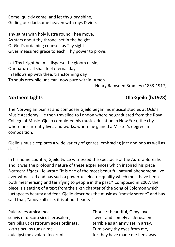Come, quickly come, and let thy glory shine, Gilding our darksome heaven with rays Divine.

Thy saints with holy lustre round Thee move, As stars about thy throne, set in the height Of God's ordaining counsel, as Thy sight Gives measured grace to each, Thy power to prove.

Let Thy bright beams disperse the gloom of sin, Our nature all shall feel eternal day In fellowship with thee, transforming day To souls erewhile unclean, now pure within. Amen.

Henry Ramsden Bramley (1833-1917)

### **Northern Lights Ola Gjeilo (b.1978)**

The Norwegian pianist and composer Gjeilo began his musical studies at Oslo's Music Academy. He then travelled to London where he graduated from the Royal College of Music. Gjeilo completed his music education in New York, the city where he currently lives and works, where he gained a Master's degree in composition.

Gjeilo's music explores a wide variety of genres, embracing jazz and pop as well as classical.

In his home country, Gjeilo twice witnessed the spectacle of the Aurora Borealis and it was the profound nature of these experiences which inspired his piece *Northern Lights.* He wrote "It is one of the most beautiful natural phenomena I've ever witnessed and has such a powerful, electric quality which must have been both mesmerising and terrifying to people in the past." Composed in 2007, the piece is a setting of a text from the sixth chapter of the Song of Solomon which juxtaposes beauty and fear. Gjeilo describes the music as "mostly serene" and has said that, "above all else, it is about beauty."

Pulchra es amica mea, suavis et decora sicut Jerusalem, terribilis ut castrorum acies ordinata. Averte oculos tuos a me quia ipsi me avolare fecerunt.

Thou art beautiful, O my love, sweet and comely as Jerusalem, terrible as an army set in array. Turn away thy eyes from me, for they have made me flee away.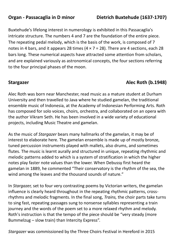Buxtehude's lifelong interest in numerology is exhibited in this Passacaglia's intricate structure. The numbers 4 and 7 are the foundation of the entire piece. The repeating pedal melody, which is the basis of the work, is composed of 7 notes in 4 bars, and it appears 28 times  $(4 \times 7 = 28)$ . There are 4 sections, each 28 bars long. These numerical aspects have attracted some attention from scholars, and are explained variously as astronomical concepts, the four sections referring to the four principal phases of the moon.

### **Stargazer Alec Roth (b.1948)**

Alec Roth was born near Manchester, read music as a mature student at Durham University and then travelled to Java where he studied gamelan, the traditional ensemble music of Indonesia, at the Academy of Indonesian Performing Arts. Roth has composed for solo voices, choirs, orchestra, and collaborated on an opera with the author Vikram Seth. He has been involved in a wide variety of educational projects, including Music Theatre and gamelan.

As the music of *Stargazer* bears many hallmarks of the gamelan, it may be of interest to elaborate here. The gamelan ensemble is made up of mostly bronze, tuned percussion instruments played with mallets, also drums, and sometimes flutes. The music is learnt aurally and structured in unique, repeating rhythmic and melodic patterns added to which is a system of stratification in which the higher notes play faster note values than the lower. When Debussy first heard the gamelan in 1889, he commented "Their conservatory is the rhythm of the sea, the wind among the leaves and the thousand sounds of nature."

In *Stargazer,* set to four very contrasting poems by Victorian writers, the gamelan influence is clearly heard throughout in the repeating rhythmic patterns, crossrhythms and melodic fragments. In the final song, *Trains,* the choir parts take turns to sing fast, repeating passages sung to nonsense syllables representing a train journey and the words of the poem set to a more relaxed rhythm and melody. Roth's instruction is that the tempo of the piece should be "very steady (more Bummelzug – slow train) than Intercity Express".

*Stargazer* was commissioned by the Three Choirs Festival in Hereford in 2015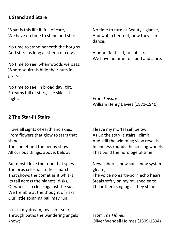### **1 Stand and Stare**

What is this life if, full of care, We have no time to stand and stare.

No time to stand beneath the boughs And stare as long as sheep or cows.

No time to see, when woods we pass, Where squirrels hide their nuts in grass.

No time to see, in broad daylight, Streams full of stars, like skies at night.

No time to turn at Beauty's glance, And watch her feet, how they can dance.

A poor life this if, full of care, We have no time to stand and stare.

From *Leisure* William Henry Davies (1871-1940)

#### **2 The Star-lit Stairs**

I love all sights of earth and skies, From flowers that glow to stars that shine;

The comet and the penny show, All curious things, above, below.

But most I love the tube that spies The orbs celestial in their march; That shows the comet as it whisks Its tail across the planets' disks, Or wheels so close against the sun We tremble at the thought of risks Our little spinning ball may run.

Lost in my dream, my spirit soars Through paths the wandering angels know;

I leave my mortal self below, As up the star-lit stairs I climb, And still the widening view reveals In endless rounds the circling wheels That build the horologe of time.

New spheres, new suns, new systems gleam;

The voice no earth-born echo hears Steals softly on my ravished ears: I hear them singing as they shine.

From *The Flâneur* Oliver Wendell Holmes (1809-1894)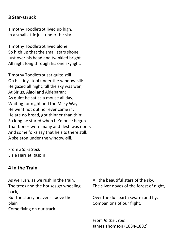#### **3 Star-struck**

Timothy Toodletrot lived up high, In a small attic just under the sky.

Timothy Toodletrot lived alone, So high up that the small stars shone Just over his head and twinkled bright All night long through his one skylight.

Timothy Toodletrot sat quite still On his tiny stool under the window-sill: He gazed all night, till the sky was wan, At Sirius, Algol and Aldebaran: As quiet he sat as a mouse all day, Waiting for night and the Milky Way. He went not out nor ever came in, He ate no bread, got thinner than thin: So long he stared when he'd once begun That bones were many and flesh was none, And some folks say that he sits there still, A skeleton under the window-sill.

From *Star-struck* Elsie Harriet Raspin

#### **4 In the Train**

As we rush, as we rush in the train, The trees and the houses go wheeling back,

But the starry heavens above the plain

Come flying on our track.

All the beautiful stars of the sky, The silver doves of the forest of night,

Over the dull earth swarm and fly, Companions of our flight.

From *In the Train* James Thomson (1834-1882)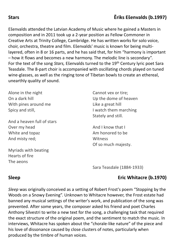Ešenvalds attended the Latvian Academy of Music where he gained a Masters in composition and in 2011 took up a 2-year position as Fellow Commoner in Creative Arts at Trinity College, Cambridge. He has written works for solo voice, choir, orchestra, theatre and film. Ešenvalds' music is known for being multilayered, often in 8 or 16 parts, and he has said that, for him "harmony is important – how it flows and becomes a new harmony. The melodic line is secondary". For the text of the song *Stars,* Ešenvalds turned to the 19th Century lyric poet Sara Teasdale. The 8-part choir is accompanied with oscillating chords played on tuned wine-glasses, as well as the ringing tone of Tibetan bowls to create an ethereal, unearthly quality of sound.

Alone in the night On a dark hill With pines around me Spicy and still,

And a heaven full of stars Over my head White and topaz And misty red;

Myriads with beating Hearts of fire The aeons

Cannot vex or tire; Up the dome of heaven Like a great hill I watch them marching Stately and still.

And I know that I Am honored to be Witness Of so much majesty.

[Sara Teasdale](https://www.poemhunter.com/sara-teasdale/poems/) (1884-1933)

#### **Sleep** Eric Whitacre (b.1970)

*Sleep* was originally conceived as a setting of Robert Frost's poem "Stopping by the Woods on a Snowy Evening". Unknown to Whitacre however, the Frost estate had banned any musical settings of the writer's work, and publication of the song was prevented. After some years, the composer asked his friend and poet Charles Anthony Silvestri to write a new text for the song, a challenging task that required the exact structure of the original poem, and the sentiment to match the music. In interviews, Whitacre has spoken about the "chorale-like nature" of the piece and his love of dissonance caused by close clusters of notes, particularly when produced by the timbre of human voices.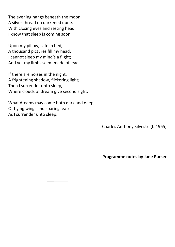The evening hangs beneath the moon, A silver thread on darkened dune. With closing eyes and resting head I know that sleep is coming soon.

Upon my pillow, safe in bed, A thousand pictures fill my head, I cannot sleep my mind's a flight; And yet my limbs seem made of lead.

If there are noises in the night, A frightening shadow, flickering light; Then I surrender unto sleep, Where clouds of dream give second sight.

What dreams may come both dark and deep, Of flying wings and soaring leap As I surrender unto sleep.

Charles Anthony Silvestri (b.1965)

**Programme notes by Jane Purser**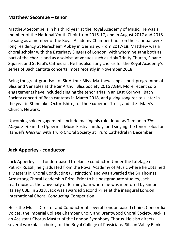#### **Matthew Secombe – tenor**

Matthew Secombe is in his third year at the Royal Academy of Music. He was a member of the National Youth Choir from 2016-17, and in August 2017 and 2018 he sang as a member of the Royal Academy Chamber Choir on their annual weeklong residency at Neresheim Abbey in Germany. From 2017-18, Matthew was a choral scholar with the Esterhazy Singers of London, with whom he sang both as part of the chorus and as a soloist, at venues such as Holy Trinity Church, Sloane Square, and St Paul's Cathedral. He has also sung chorus for the Royal Academy's series of Bach cantata concerts, most recently in November 2018.

Being the great-grandson of Sir Arthur Bliss, Matthew sang a short programme of Bliss and Venables at the Sir Arthur Bliss Society 2016 AGM. More recent solo engagements have included singing the tenor arias in an East Cornwall Bach Society concert of Bach cantatas in March 2018, and giving song recitals later in the year in Standlake, Oxfordshire, for the Exuberant Trust, and at St Mary's Church, Newark.

Upcoming solo engagements include making his role debut as Tamino in *The Magic Flute* in the Uppermill Music Festival in July, and singing the tenor solos for Handel's *Messiah* with Truro Choral Society at Truro Cathedral in December.

#### **Jack Apperley - conductor**

Jack Apperley is a London-based freelance conductor. Under the tutelage of Patrick Russill, he graduated from the Royal Academy of Music where he obtained a Masters in Choral Conducting (Distinction) and was awarded the Sir Thomas Armstrong Choral Leadership Prize. Prior to his postgraduate studies, Jack read music at the University of Birmingham where he was mentored by Simon Halsey CBE. In 2018, Jack was awarded Second Prize at the inaugural London International Choral Conducting Competition.

He is the Music Director and Conductor of several London based choirs; Concordia Voices, the Imperial College Chamber Choir, and Brentwood Choral Society. Jack is an Assistant Chorus Master of the London Symphony Chorus. He also directs several workplace choirs, for the Royal College of Physicians, Silicon Valley Bank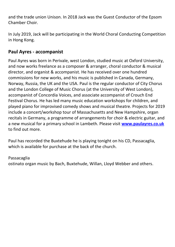and the trade union Unison. In 2018 Jack was the Guest Conductor of the Epsom Chamber Choir.

In July 2019, Jack will be participating in the World Choral Conducting Competition in Hong Kong.

### **Paul Ayres - accompanist**

Paul Ayres was born in Perivale, west London, studied music at Oxford University, and now works freelance as a composer & arranger, choral conductor & musical director, and organist & accompanist. He has received over one hundred commissions for new works, and his music is published in Canada, Germany, Norway, Russia, the UK and the USA. Paul is the regular conductor of City Chorus and the London College of Music Chorus (at the University of West London), accompanist of Concordia Voices, and associate accompanist of Crouch End Festival Chorus. He has led many music education workshops for children, and played piano for improvised comedy shows and musical theatre. Projects for 2019 include a concert/workshop tour of Massachusetts and New Hampshire, organ recitals in Germany, a programme of arrangements for choir & electric guitar, and a new musical for a primary school in Lambeth. Please visit **[www.paulayres.co.uk](http://www.paulayres.co.uk/)** to find out more.

Paul has recorded the Buxtehude he is playing tonight on his CD, Passacaglia, which is available for purchase at the back of the church.

#### Passacaglia

ostinato organ music by Bach, Buxtehude, Willan, Lloyd Webber and others.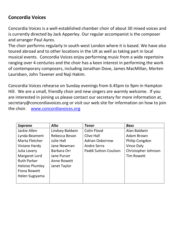### **Concordia Voices**

Concordia Voices is a well-established chamber choir of about 30 mixed voices and is currently directed by Jack Apperley. Our regular accompanist is the composer and arranger Paul Ayres.

The choir performs regularly in south-west London where it is based. We have also toured abroad and to other locations in the UK as well as taking part in local musical events. Concordia Voices enjoy performing music from a wide repertoire ranging over 4 centuries and the choir has a keen interest in performing the work of contemporary composers, including Jonathan Dove, James MacMillan, Morten Lauridsen, John Tavener and Naji Hakim.

Concordia Voices rehearse on Sunday evenings from 6.45pm to 9pm in Hampton Hill. We are a small, friendly choir and new singers are warmly welcome. If you are interested in joining us please contact our secretary for more information at, [secretary@concordiavoices.org](mailto:secretary@concordiavoices.org) or visit our web site for information on how to join the choir. [www.concordiavoices.org](http://www.concordiavoices.org/)

| Soprano                | Alto               | <b>Tenor</b>           | <b>Bass</b>         |
|------------------------|--------------------|------------------------|---------------------|
| Jackie Allen           | Lindsey Baldwin    | Colin Flood            | Alan Baldwin        |
| Lynda Beament          | Rebecca Bevan      | Clive Hall             | Adam Brown          |
| Marta Fletcher         | Julie Hall         | <b>Adrian Oxborrow</b> | Philip Congdon      |
| Viviane Hardy          | Jane Newman        | <b>Andre Serra</b>     | Vince Daly          |
| Julia Lavery           | Barbara Orr        | Paddi Sutton-Coulson   | Christopher Johnson |
| Margaret Lord          | <b>Jane Purser</b> |                        | <b>Tim Rowett</b>   |
| <b>Ruth Parker</b>     | Anne Rowett        |                        |                     |
| <b>Heloise Plumley</b> | Janet Taylor       |                        |                     |
| <b>Fiona Rowett</b>    |                    |                        |                     |
| Helen Sugiyama         |                    |                        |                     |
|                        |                    |                        |                     |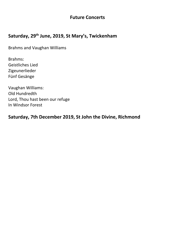#### **Future Concerts**

### **Saturday, 29th June, 2019, St Mary's, Twickenham**

Brahms and Vaughan Williams

Brahms: Geistliches Lied Zigeunerlieder Fünf Gesänge

Vaughan Williams: Old Hundredth Lord, Thou hast been our refuge In Windsor Forest

#### **Saturday, 7th December 2019, St John the Divine, Richmond**